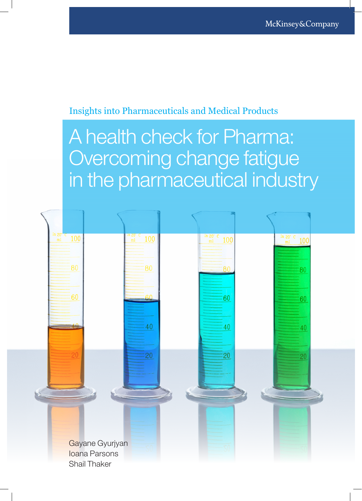### Insights into Pharmaceuticals and Medical Products

# A health check for Pharma: Overcoming change fatigue in the pharmaceutical industry

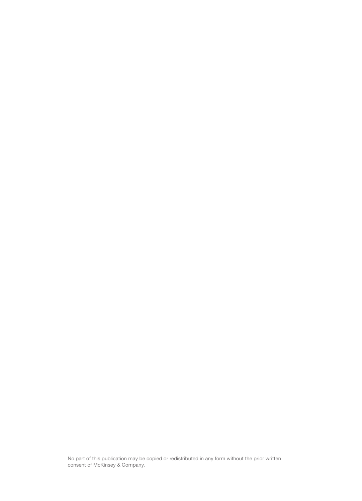No part of this publication may be copied or redistributed in any form without the prior written consent of McKinsey & Company.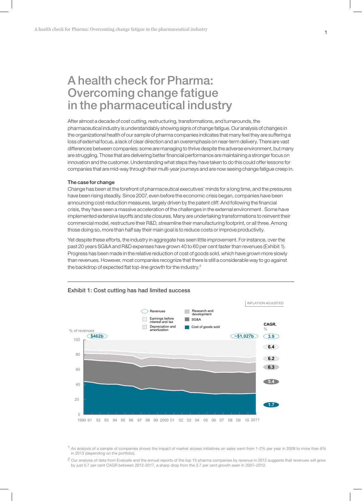## A health check for Pharma: Overcoming change fatigue in the pharmaceutical industry

After almost a decade of cost cutting, restructuring, transformations, and turnarounds, the pharmaceutical industry is understandably showing signs of change fatigue. Our analysis of changes in the organizational health of our sample of pharma companies indicates that many feel they are suffering a loss of external focus, a lack of clear direction and an overemphasis on near-term delivery. There are vast differences between companies: some are managing to thrive despite the adverse environment, but many are struggling. Those that are delivering better financial performance are maintaining a stronger focus on innovation and the customer. Understanding what steps they have taken to do this could offer lessons for companies that are mid-way through their multi-year journeys and are now seeing change fatigue creep in.

#### The case for change

Change has been at the forefront of pharmaceutical executives' minds for a long time, and the pressures have been rising steadily. Since 2007, even before the economic crisis began, companies have been announcing cost-reduction measures, largely driven by the patent cliff. And following the financial crisis, they have seen a massive acceleration of the challenges in the external environment . Some have implemented extensive layoffs and site closures. Many are undertaking transformations to reinvent their commercial model, restructure their R&D, streamline their manufacturing footprint, or all three. Among those doing so, more than half say their main goal is to reduce costs or improve productivity.

Yet despite these efforts, the industry in aggregate has seen little improvement. For instance, over the past 20 years SG&A and R&D expenses have grown 40 to 60 per cent faster than revenues (Exhibit 1). Progress has been made in the relative reduction of cost of goods sold, which have grown more slowly than revenues. However, most companies recognize that there is still a considerable way to go against the backdrop of expected flat top-line growth for the industry.<sup>2</sup>



#### Exhibit 1: Cost cutting has had limited success

1 An analysis of a sample of companies shows the impact of market access initiatives on sales went from 1-2% per year in 2009 to more than 6% in 2013 (depending on the portfolio).

2 Our analysis of data from Evaluate and the annual reports of the top 15 pharma companies by revenue in 2012 suggests that revenues will grow by just 0.7 per cent CAGR between 2012-2017, a sharp drop from the 3.7 per cent growth seen in 2007–2012.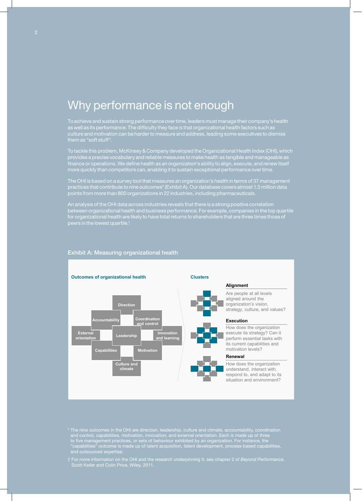## Why performance is not enough

To achieve and sustain strong performance over time, leaders must manage their company's health as well as its performance. The difficulty they face is that organizational health factors such as culture and motivation can be harder to measure and address, leading some executives to dismiss

To tackle this problem, McKinsey & Company developed the Organizational Health Index (OHI), which provides a precise vocabulary and reliable measures to make health as tangible and manageable as finance or operations. We define health as an organization's ability to align, execute, and renew itself more quickly than competitors can, enabling it to sustain exceptional performance over time.

The OHI is based on a survey tool that measures an organization's health in terms of 37 management practices that contribute to nine outcomes\* (Exhibit A). Our database covers almost 1.5 million data points from more than 800 organizations in 22 industries, including pharmaceuticals.

An analysis of the OHI data across industries reveals that there is a strong positive correlation between organizational health and business performance. For example, companies in the top quartile for organizational health are likely to have total returns to shareholders that are three times those of peers in the lowest quartile.†



### Exhibit A: Measuring organizational health

Are people at all levels aligned around the organization's vision, strategy, culture, and values?

How does the organization execute its strategy? Can it perform essential tasks with its current capabilities and motivation levels?

How does the organization understand, interact with, respond to, and adapt to its situation and environment?

\* The nine outcomes in the OHI are direction, leadership, culture and climate, accountability, coordination and control, capabilities, motivation, innovation, and external orientation. Each is made up of three to five management practices, or sets of behaviour exhibited by an organization. For instance, the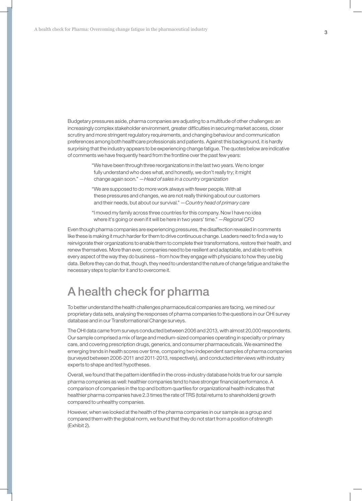Budgetary pressures aside, pharma companies are adjusting to a multitude of other challenges: an increasingly complex stakeholder environment, greater difficulties in securing market access, closer scrutiny and more stringent regulatory requirements, and changing behaviour and communication preferences among both healthcare professionals and patients. Against this background, it is hardly surprising that the industry appears to be experiencing change fatigue. The quotes below are indicative of comments we have frequently heard from the frontline over the past few years:

> "We have been through three reorganizations in the last two years. We no longer fully understand who does what, and honestly, we don't really try; it might change again soon." *—Head of sales in a country organization*

- "We are supposed to do more work always with fewer people. With all these pressures and changes, we are not really thinking about our customers and their needs, but about our survival." *—Country head of primary care*
- "I moved my family across three countries for this company. Now I have no idea where it's going or even if it will be here in two years' time." *—Regional CFO*

Even though pharma companies are experiencing pressures, the disaffection revealed in comments like these is making it much harder for them to drive continuous change. Leaders need to find a way to reinvigorate their organizations to enable them to complete their transformations, restore their health, and renew themselves. More than ever, companies need to be resilient and adaptable, and able to rethink every aspect of the way they do business – from how they engage with physicians to how they use big data. Before they can do that, though, they need to understand the nature of change fatigue and take the necessary steps to plan for it and to overcome it.

# A health check for pharma

To better understand the health challenges pharmaceutical companies are facing, we mined our proprietary data sets, analysing the responses of pharma companies to the questions in our OHI survey database and in our Transformational Change surveys.

The OHI data came from surveys conducted between 2006 and 2013, with almost 20,000 respondents. Our sample comprised a mix of large and medium-sized companies operating in specialty or primary care, and covering prescription drugs, generics, and consumer pharmaceuticals. We examined the emerging trends in health scores over time, comparing two independent samples of pharma companies (surveyed between 2006-2011 and 2011-2013, respectively), and conducted interviews with industry experts to shape and test hypotheses.

Overall, we found that the pattern identified in the cross-industry database holds true for our sample pharma companies as well: healthier companies tend to have stronger financial performance. A comparison of companies in the top and bottom quartiles for organizational health indicates that healthier pharma companies have 2.3 times the rate of TRS (total returns to shareholders) growth compared to unhealthy companies.

However, when we looked at the health of the pharma companies in our sample as a group and compared them with the global norm, we found that they do not start from a position of strength (Exhibit 2).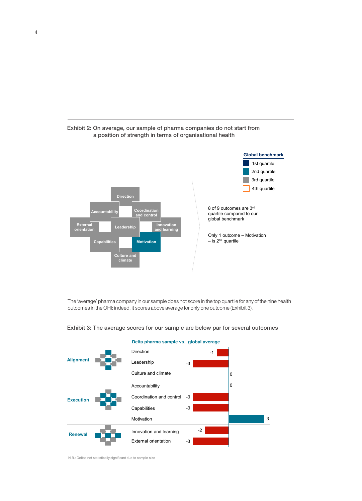



The 'average' pharma company in our sample does not score in the top quartile for any of the nine health outcomes in the OHI; indeed, it scores above average for only one outcome (Exhibit 3).



Exhibit 3: The average scores for our sample are below par for several outcomes

N.B.: Deltas not statistically significant due to sample size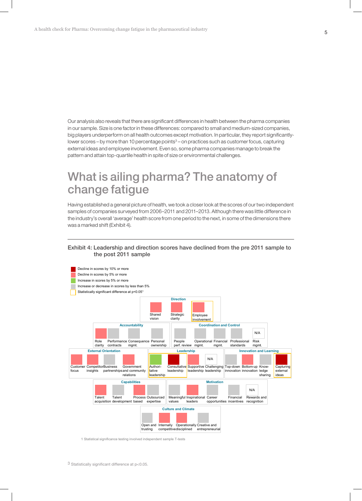Our analysis also reveals that there are significant differences in health between the pharma companies in our sample. Size is one factor in these differences: compared to small and medium-sized companies, big players underperform on all health outcomes except motivation. In particular, they report significantlylower scores - by more than 10 percentage points<sup>3</sup> - on practices such as customer focus, capturing external ideas and employee involvement. Even so, some pharma companies manage to break the pattern and attain top-quartile health in spite of size or environmental challenges.

## What is ailing pharma? The anatomy of change fatigue

Having established a general picture of health, we took a closer look at the scores of our two independent samples of companies surveyed from 2006–2011 and 2011–2013. Although there was little difference in the industry's overall 'average' health score from one period to the next, in some of the dimensions there was a marked shift (Exhibit 4).

### Exhibit 4: Leadership and direction scores have declined from the pre 2011 sample to the post 2011 sample



1 Statistical significance testing involved independent sample T-tests

3 Statistically significant difference at p<0.05.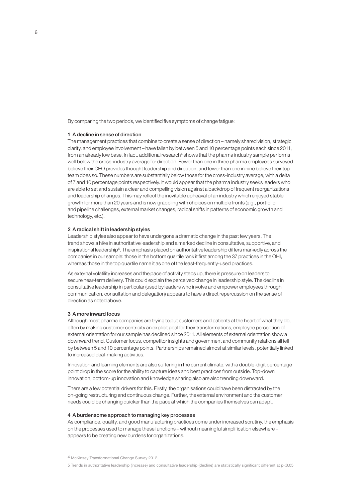By comparing the two periods, we identified five symptoms of change fatigue:

#### 1 A decline in sense of direction

The management practices that combine to create a sense of direction – namely shared vision, strategic clarity, and employee involvement – have fallen by between 5 and 10 percentage points each since 2011, from an already low base. In fact, additional research<sup>4</sup> shows that the pharma industry sample performs well below the cross-industry average for direction. Fewer than one in three pharma employees surveyed believe their CEO provides thought leadership and direction, and fewer than one in nine believe their top team does so. These numbers are substantially below those for the cross-industry average, with a delta of 7 and 10 percentage points respectively. It would appear that the pharma industry seeks leaders who are able to set and sustain a clear and compelling vision against a backdrop of frequent reorganizations and leadership changes. This may reflect the inevitable upheaval of an industry which enjoyed stable growth for more than 20 years and is now grappling with choices on multiple fronts (e.g., portfolio and pipeline challenges, external market changes, radical shifts in patterns of economic growth and technology, etc.).

#### 2 A radical shift in leadership styles

Leadership styles also appear to have undergone a dramatic change in the past few years. The trend shows a hike in authoritative leadership and a marked decline in consultative, supportive, and inspirational leadership<sup>5</sup>. The emphasis placed on authoritative leadership differs markedly across the companies in our sample: those in the bottom quartile rank it first among the 37 practices in the OHI, whereas those in the top quartile name it as one of the least-frequently-used practices.

As external volatility increases and the pace of activity steps up, there is pressure on leaders to secure near-term delivery. This could explain the perceived change in leadership style. The decline in consultative leadership in particular (used by leaders who involve and empower employees through communication, consultation and delegation) appears to have a direct repercussion on the sense of direction as noted above.

#### 3 A more inward focus

Although most pharma companies are trying to put customers and patients at the heart of what they do, often by making customer centricity an explicit goal for their transformations, employee perception of external orientation for our sample has declined since 2011. All elements of external orientation show a downward trend. Customer focus, competitor insights and government and community relations all fell by between 5 and 10 percentage points. Partnerships remained almost at similar levels, potentially linked to increased deal-making activities.

Innovation and learning elements are also suffering in the current climate, with a double-digit percentage point drop in the score for the ability to capture ideas and best practices from outside. Top-down innovation, bottom-up innovation and knowledge sharing also are also trending downward.

There are a few potential drivers for this. Firstly, the organisations could have been distracted by the on-going restructuring and continuous change. Further, the external environment and the customer needs could be changing quicker than the pace at which the companies themselves can adapt.

#### 4 A burdensome approach to managing key processes

As compliance, quality, and good manufacturing practices come under increased scrutiny, the emphasis on the processes used to manage these functions – without meaningful simplification elsewhere – appears to be creating new burdens for organizations.

<sup>4</sup> McKinsey Transformational Change Survey 2012.

<sup>5</sup> Trends in authoritative leadership (increase) and consultative leadership (decline) are statistically significant different at p<0.05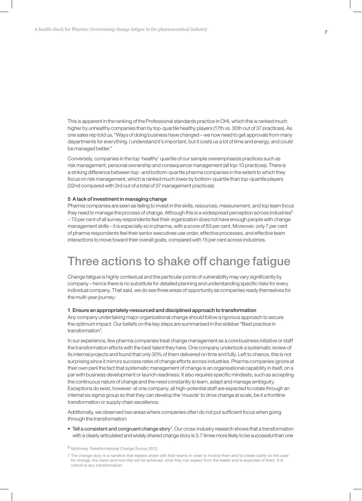This is apparent in the ranking of the Professional standards practice in OHI, which this is ranked much higher by unhealthy companies than by top-quartile healthy players (17th vs. 30th out of 37 practices). As one sales rep told us, "Ways of doing business have changed – we now need to get approvals from many departments for everything. I understand it's important, but it costs us a lot of time and energy, and could be managed better."

Conversely, companies in the top 'healthy' quartile of our sample overemphasize practices such as risk management, personal ownership and consequence management (all top-10 practices). There is a striking difference between top- and bottom-quartile pharma companies in the extent to which they focus on risk management, which is ranked much lower by bottom-quartile than top-quartile players (32nd compared with 3rd out of a total of 37 management practices).

#### 5 A lack of investment in managing change

Pharma companies are seen as failing to invest in the skills, resources, measurement, and top team focus they need to manage the process of change. Although this is a widespread perception across industries<sup>6</sup> – 73 per cent of all survey respondents feel their organization does not have enough people with change management skills – it is especially so in pharma, with a score of 83 per cent. Moreover, only 7 per cent of pharma respondents feel their senior executives use order, effective processes, and effective team interactions to move toward their overall goals, compared with 15 per cent across industries.

### Three actions to shake off change fatigue

Change fatigue is highly contextual and the particular points of vulnerability may vary significantly by company – hence there is no substitute for detailed planning and understanding specific risks for every individual company. That said, we do see three areas of opportunity as companies ready themselves for the multi-year journey:

#### 1 Ensure an appropriately-resourced and disciplined approach to transformation

Any company undertaking major organizational change should follow a rigorous approach to secure the optimum impact. Our beliefs on the key steps are summarised in the sidebar "Best practice in transformation".

In our experience, few pharma companies treat change management as a core business initiative or staff the transformation efforts with the best talent they have. One company undertook a systematic review of its internal projects and found that only 30% of them delivered on time and fully. Left to chance, this is not surprising since it mirrors success rates of change efforts across industries. Pharma companies ignore at their own peril the fact that systematic management of change is an organisational capability in itself, on a par with business development or launch readiness. It also requires specific mindsets, such as accepting the continuous nature of change and the need constantly to learn, adapt and manage ambiguity. Exceptions do exist, however: at one company, all high-potential staff are expected to rotate through an internal six sigma group so that they can develop the 'muscle' to drive change at scale, be it a frontline transformation or supply chain excellence.

Additionally, we observed two areas where companies often do not put sufficient focus when going through the transformation:

• Tell a consistent and congruent change story<sup>7</sup>. Our cross-industry research shows that a transformation with a clearly articulated and widely shared change story is 3.7 times more likely to be successful than one

6 McKinsey Transformational Change Survey 2012.

<sup>7</sup> The change story is a narrative that leaders share with their teams in order to involve them and to create clarity on the case for change, the vision and how this will be achieved, what they can expect from the leader and is expected of them. It is critical to any transformation.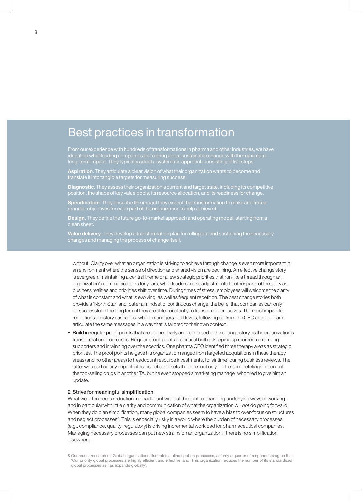## Best practices in transformation

From our experience with hundreds of transformations in pharma and other industries, we have identified what leading companies do to bring about sustainable change with the maximum long-term impact. They typically adopt a systematic approach consisting of five steps:

Aspiration. They articulate a clear vision of what their organization wants to become and translate it into tangible targets for measuring success.

**Diagnostic**. They assess their organization's current and target state, including its competitive position, the shape of key value pools, its resource allocation, and its readiness for change.

Specification. They describe the impact they expect the transformation to make and frame granular objectives for each part of the organization to help achieve it.

Design. They define the future go-to-market approach and operating model, starting from a

Value delivery. They develop a transformation plan for rolling out and sustaining the necessary changes and managing the process of change itself.

without. Clarity over what an organization is striving to achieve through change is even more important in an environment where the sense of direction and shared vision are declining. An effective change story is evergreen, maintaining a central theme or a few strategic priorities that run like a thread through an organization's communications for years, while leaders make adjustments to other parts of the story as business realities and priorities shift over time. During times of stress, employees will welcome the clarity of what is constant and what is evolving, as well as frequent repetition. The best change stories both provide a 'North Star' and foster a mindset of continuous change, the belief that companies can only be successful in the long term if they are able constantly to transform themselves. The most impactful repetitions are story cascades, where managers at all levels, following on from the CEO and top team, articulate the same messages in a way that is tailored to their own context.

 Build in regular proof points that are defined early and reinforced in the change story as the organization's transformation progresses. Regular proof-points are critical both in keeping up momentum among supporters and in winning over the sceptics. One pharma CEO identified three therapy areas as strategic priorities. The proof points he gave his organization ranged from targeted acquisitions in these therapy areas (and no other areas) to headcount resource investments, to 'air time' during business reviews. The latter was particularly impactful as his behavior sets the tone: not only did he completely ignore one of the top-selling drugs in another TA, but he even stopped a marketing manager who tried to give him an update.

#### 2 Strive for meaningful simplification

What we often see is reduction in headcount without thought to changing underlying ways of working and in particular with little clarity and communication of what the organization will *not* do going forward. When they do plan simplification, many global companies seem to have a bias to over-focus on structures and neglect processes<sup>8</sup>. This is especially risky in a world where the burden of necessary processes (e.g., compliance, quality, regulatory) is driving incremental workload for pharmaceutical companies. Managing necessary processes can put new strains on an organization if there is no simplification elsewhere.

<sup>8</sup> Our recent research on Global organisations illustrates a blind spot on processes, as only a quarter of respondents agree that 'Our priority global processes are highly efficient and effective' and 'This organization reduces the number of its standardized global processes as has expands globally'.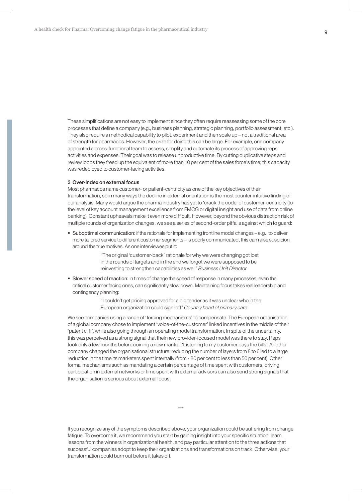These simplifications are not easy to implement since they often require reassessing some of the core processes that define a company (e.g., business planning, strategic planning, portfolio assessment, etc.). They also require a methodical capability to pilot, experiment and then scale up – not a traditional area of strength for pharmacos. However, the prize for doing this can be large. For example, one company appointed a cross-functional team to assess, simplify and automate its process of approving reps' activities and expenses. Their goal was to release unproductive time. By cutting duplicative steps and review loops they freed up the equivalent of more than 10 per cent of the sales force's time; this capacity was redeployed to customer-facing activities.

#### 3 Over-index on external focus

Most pharmacos name customer- or patient-centricity as one of the key objectives of their transformation, so in many ways the decline in external orientation is the most counter-intuitive finding of our analysis. Many would argue the pharma industry has yet to 'crack the code' of customer-centricity (to the level of key account management excellence from FMCG or digital insight and use of data from online banking). Constant upheavals make it even more difficult. However, beyond the obvious distraction risk of multiple rounds of organization changes, we see a series of second-order pitfalls against which to guard:

 Suboptimal communication: if the rationale for implementing frontline model changes – e.g., to deliver more tailored service to different customer segments – is poorly communicated, this can raise suspicion around the true motives. As one interviewee put it:

> "The original 'customer-back' rationale for why we were changing got lost in the rounds of targets and in the end we forgot we were supposed to be reinvesting to strengthen capabilities as well" *Business Unit Director*

**Slower speed of reaction:** in times of change the speed of response in many processes, even the critical customer facing ones, can significantly slow down. Maintaining focus takes real leadership and contingency planning:

> "I couldn't get pricing approved for a big tender as it was unclear who in the European organization could sign-off" *Country head of primary care*

We see companies using a range of 'forcing mechanisms' to compensate. The European organisation of a global company chose to implement 'voice-of-the-customer' linked incentives in the middle of their 'patent cliff', while also going through an operating model transformation. In spite of the uncertainty, this was perceived as a strong signal that their new provider-focused model was there to stay. Reps took only a few months before coining a new mantra: 'Listening to my customer pays the bills'. Another company changed the organisational structure: reducing the number of layers from 8 to 6 led to a large reduction in the time its marketers spent internally (from ~80 per cent to less than 50 per cent). Other formal mechanisms such as mandating a certain percentage of time spent with customers, driving participation in external networks or time spent with external advisors can also send strong signals that the organisation is serious about external focus.

\*\*\*

If you recognize any of the symptoms described above, your organization could be suffering from change fatigue. To overcome it, we recommend you start by gaining insight into your specific situation, learn lessons from the winners in organizational health, and pay particular attention to the three actions that successful companies adopt to keep their organizations and transformations on track. Otherwise, your transformation could burn out before it takes off.